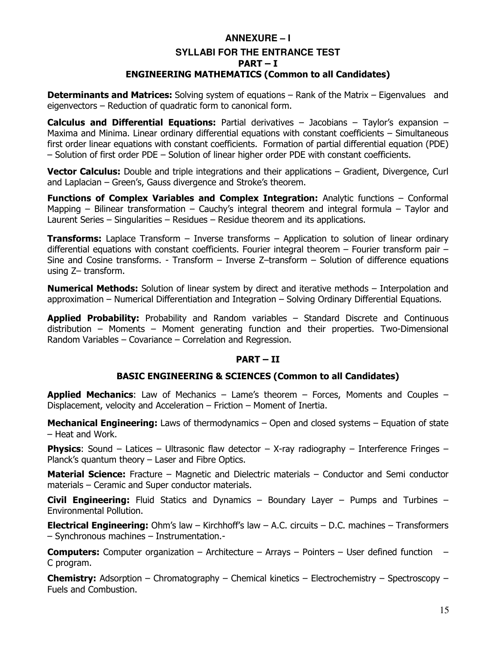## **ANNEXURE – I SYLLABI FOR THE ENTRANCE TEST PART – I ENGINEERING MATHEMATICS (Common to all Candidates)**

**Determinants and Matrices:** Solving system of equations – Rank of the Matrix – Eigenvalues and eigenvectors – Reduction of quadratic form to canonical form.

**Calculus and Differential Equations:** Partial derivatives – Jacobians – Taylor's expansion – Maxima and Minima. Linear ordinary differential equations with constant coefficients – Simultaneous first order linear equations with constant coefficients. Formation of partial differential equation (PDE) – Solution of first order PDE – Solution of linear higher order PDE with constant coefficients.

**Vector Calculus:** Double and triple integrations and their applications – Gradient, Divergence, Curl and Laplacian – Green's, Gauss divergence and Stroke's theorem.

**Functions of Complex Variables and Complex Integration:** Analytic functions – Conformal Mapping – Bilinear transformation – Cauchy's integral theorem and integral formula – Taylor and Laurent Series – Singularities – Residues – Residue theorem and its applications.

**Transforms:** Laplace Transform – Inverse transforms – Application to solution of linear ordinary differential equations with constant coefficients. Fourier integral theorem - Fourier transform pair -Sine and Cosine transforms. - Transform – Inverse Z–transform – Solution of difference equations using Z– transform.

**Numerical Methods:** Solution of linear system by direct and iterative methods – Interpolation and approximation – Numerical Differentiation and Integration – Solving Ordinary Differential Equations.

**Applied Probability:** Probability and Random variables – Standard Discrete and Continuous distribution – Moments – Moment generating function and their properties. Two-Dimensional Random Variables – Covariance – Correlation and Regression.

### **PART – II**

## **BASIC ENGINEERING & SCIENCES (Common to all Candidates)**

**Applied Mechanics**: Law of Mechanics – Lame's theorem – Forces, Moments and Couples – Displacement, velocity and Acceleration – Friction – Moment of Inertia.

**Mechanical Engineering:** Laws of thermodynamics – Open and closed systems – Equation of state – Heat and Work.

**Physics**: Sound – Latices – Ultrasonic flaw detector – X-ray radiography – Interference Fringes – Planck's quantum theory – Laser and Fibre Optics.

**Material Science:** Fracture – Magnetic and Dielectric materials – Conductor and Semi conductor materials – Ceramic and Super conductor materials.

**Civil Engineering:** Fluid Statics and Dynamics – Boundary Layer – Pumps and Turbines – Environmental Pollution.

**Electrical Engineering:** Ohm's law – Kirchhoff's law – A.C. circuits – D.C. machines – Transformers – Synchronous machines – Instrumentation.-

**Computers:** Computer organization – Architecture – Arrays – Pointers – User defined function – C program.

**Chemistry:** Adsorption – Chromatography – Chemical kinetics – Electrochemistry – Spectroscopy – Fuels and Combustion.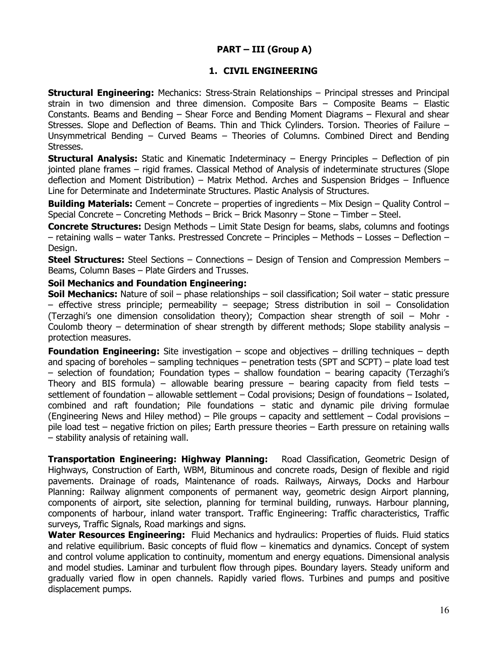## **PART – III (Group A)**

## **1. CIVIL ENGINEERING**

**Structural Engineering:** Mechanics: Stress-Strain Relationships – Principal stresses and Principal strain in two dimension and three dimension. Composite Bars – Composite Beams – Elastic Constants. Beams and Bending – Shear Force and Bending Moment Diagrams – Flexural and shear Stresses. Slope and Deflection of Beams. Thin and Thick Cylinders. Torsion. Theories of Failure – Unsymmetrical Bending – Curved Beams – Theories of Columns. Combined Direct and Bending Stresses.

**Structural Analysis:** Static and Kinematic Indeterminacy – Energy Principles – Deflection of pin jointed plane frames – rigid frames. Classical Method of Analysis of indeterminate structures (Slope deflection and Moment Distribution) – Matrix Method. Arches and Suspension Bridges – Influence Line for Determinate and Indeterminate Structures. Plastic Analysis of Structures.

**Building Materials:** Cement – Concrete – properties of ingredients – Mix Design – Quality Control – Special Concrete – Concreting Methods – Brick – Brick Masonry – Stone – Timber – Steel.

**Concrete Structures:** Design Methods – Limit State Design for beams, slabs, columns and footings – retaining walls – water Tanks. Prestressed Concrete – Principles – Methods – Losses – Deflection – Design.

**Steel Structures:** Steel Sections – Connections – Design of Tension and Compression Members – Beams, Column Bases – Plate Girders and Trusses.

#### **Soil Mechanics and Foundation Engineering:**

**Soil Mechanics:** Nature of soil – phase relationships – soil classification; Soil water – static pressure – effective stress principle; permeability – seepage; Stress distribution in soil – Consolidation (Terzaghi's one dimension consolidation theory); Compaction shear strength of soil – Mohr - Coulomb theory – determination of shear strength by different methods; Slope stability analysis – protection measures.

**Foundation Engineering:** Site investigation – scope and objectives – drilling techniques – depth and spacing of boreholes – sampling techniques – penetration tests (SPT and SCPT) – plate load test – selection of foundation; Foundation types – shallow foundation – bearing capacity (Terzaghi's Theory and BIS formula) – allowable bearing pressure – bearing capacity from field tests – settlement of foundation – allowable settlement – Codal provisions; Design of foundations – Isolated, combined and raft foundation; Pile foundations – static and dynamic pile driving formulae (Engineering News and Hiley method) – Pile groups – capacity and settlement – Codal provisions – pile load test – negative friction on piles; Earth pressure theories – Earth pressure on retaining walls – stability analysis of retaining wall.

**Transportation Engineering: Highway Planning:** Road Classification, Geometric Design of Highways, Construction of Earth, WBM, Bituminous and concrete roads, Design of flexible and rigid pavements. Drainage of roads, Maintenance of roads. Railways, Airways, Docks and Harbour Planning: Railway alignment components of permanent way, geometric design Airport planning, components of airport, site selection, planning for terminal building, runways. Harbour planning, components of harbour, inland water transport. Traffic Engineering: Traffic characteristics, Traffic surveys, Traffic Signals, Road markings and signs.

**Water Resources Engineering:** Fluid Mechanics and hydraulics: Properties of fluids. Fluid statics and relative equilibrium. Basic concepts of fluid flow – kinematics and dynamics. Concept of system and control volume application to continuity, momentum and energy equations. Dimensional analysis and model studies. Laminar and turbulent flow through pipes. Boundary layers. Steady uniform and gradually varied flow in open channels. Rapidly varied flows. Turbines and pumps and positive displacement pumps.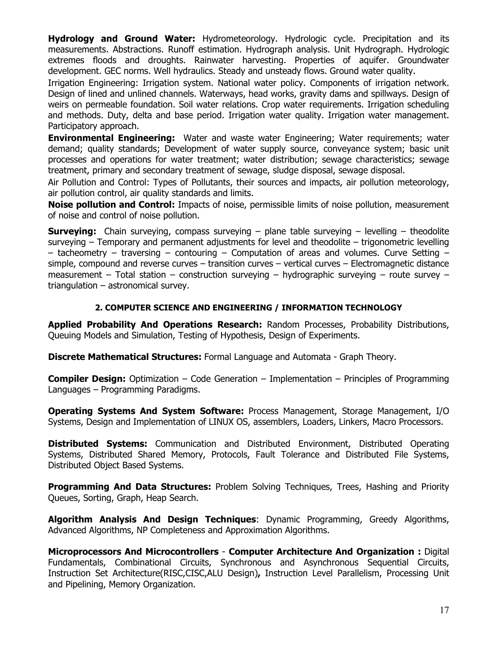**Hydrology and Ground Water:** Hydrometeorology. Hydrologic cycle. Precipitation and its measurements. Abstractions. Runoff estimation. Hydrograph analysis. Unit Hydrograph. Hydrologic extremes floods and droughts. Rainwater harvesting. Properties of aquifer. Groundwater development. GEC norms. Well hydraulics. Steady and unsteady flows. Ground water quality.

Irrigation Engineering: Irrigation system. National water policy. Components of irrigation network. Design of lined and unlined channels. Waterways, head works, gravity dams and spillways. Design of weirs on permeable foundation. Soil water relations. Crop water requirements. Irrigation scheduling and methods. Duty, delta and base period. Irrigation water quality. Irrigation water management. Participatory approach.

**Environmental Engineering:** Water and waste water Engineering; Water requirements; water demand; quality standards; Development of water supply source, conveyance system; basic unit processes and operations for water treatment; water distribution; sewage characteristics; sewage treatment, primary and secondary treatment of sewage, sludge disposal, sewage disposal.

Air Pollution and Control: Types of Pollutants, their sources and impacts, air pollution meteorology, air pollution control, air quality standards and limits.

**Noise pollution and Control:** Impacts of noise, permissible limits of noise pollution, measurement of noise and control of noise pollution.

**Surveying:** Chain surveying, compass surveying – plane table surveying – levelling – theodolite surveying – Temporary and permanent adjustments for level and theodolite – trigonometric levelling – tacheometry – traversing – contouring – Computation of areas and volumes. Curve Setting – simple, compound and reverse curves – transition curves – vertical curves – Electromagnetic distance measurement – Total station – construction surveying – hydrographic surveying – route survey – triangulation – astronomical survey.

## **2. COMPUTER SCIENCE AND ENGINEERING / INFORMATION TECHNOLOGY**

**Applied Probability And Operations Research:** Random Processes, Probability Distributions, Queuing Models and Simulation, Testing of Hypothesis, Design of Experiments.

**Discrete Mathematical Structures:** Formal Language and Automata - Graph Theory.

**Compiler Design:** Optimization – Code Generation – Implementation – Principles of Programming Languages – Programming Paradigms.

**Operating Systems And System Software:** Process Management, Storage Management, I/O Systems, Design and Implementation of LINUX OS, assemblers, Loaders, Linkers, Macro Processors.

**Distributed Systems:** Communication and Distributed Environment, Distributed Operating Systems, Distributed Shared Memory, Protocols, Fault Tolerance and Distributed File Systems, Distributed Object Based Systems.

**Programming And Data Structures:** Problem Solving Techniques, Trees, Hashing and Priority Queues, Sorting, Graph, Heap Search.

**Algorithm Analysis And Design Techniques**: Dynamic Programming, Greedy Algorithms, Advanced Algorithms, NP Completeness and Approximation Algorithms.

**Microprocessors And Microcontrollers** - **Computer Architecture And Organization :** Digital Fundamentals, Combinational Circuits, Synchronous and Asynchronous Sequential Circuits, Instruction Set Architecture(RISC,CISC,ALU Design)**,** Instruction Level Parallelism, Processing Unit and Pipelining, Memory Organization.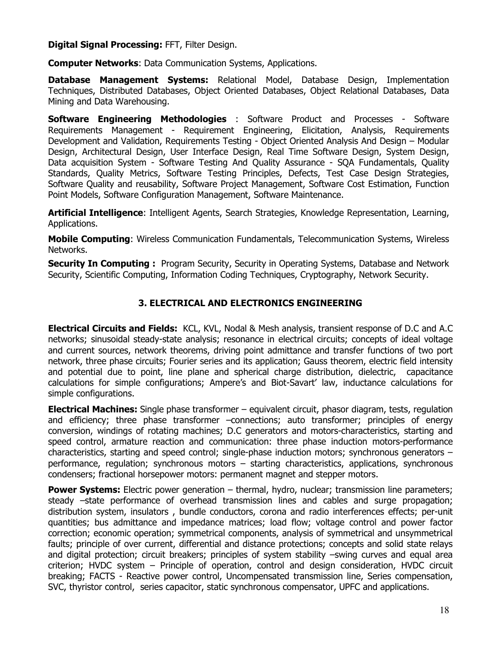### **Digital Signal Processing:** FFT, Filter Design.

**Computer Networks**: Data Communication Systems, Applications.

**Database Management Systems:** Relational Model, Database Design, Implementation Techniques, Distributed Databases, Object Oriented Databases, Object Relational Databases, Data Mining and Data Warehousing.

**Software Engineering Methodologies** : Software Product and Processes - Software Requirements Management - Requirement Engineering, Elicitation, Analysis, Requirements Development and Validation, Requirements Testing - Object Oriented Analysis And Design – Modular Design, Architectural Design, User Interface Design, Real Time Software Design, System Design, Data acquisition System - Software Testing And Quality Assurance - SQA Fundamentals, Quality Standards, Quality Metrics, Software Testing Principles, Defects, Test Case Design Strategies, Software Quality and reusability, Software Project Management, Software Cost Estimation, Function Point Models, Software Configuration Management, Software Maintenance.

**Artificial Intelligence**: Intelligent Agents, Search Strategies, Knowledge Representation, Learning, Applications.

**Mobile Computing**: Wireless Communication Fundamentals, Telecommunication Systems, Wireless Networks.

**Security In Computing :** Program Security, Security in Operating Systems, Database and Network Security, Scientific Computing, Information Coding Techniques, Cryptography, Network Security.

## **3. ELECTRICAL AND ELECTRONICS ENGINEERING**

**Electrical Circuits and Fields:** KCL, KVL, Nodal & Mesh analysis, transient response of D.C and A.C networks; sinusoidal steady-state analysis; resonance in electrical circuits; concepts of ideal voltage and current sources, network theorems, driving point admittance and transfer functions of two port network, three phase circuits; Fourier series and its application; Gauss theorem, electric field intensity and potential due to point, line plane and spherical charge distribution, dielectric, capacitance calculations for simple configurations; Ampere's and Biot-Savart' law, inductance calculations for simple configurations.

**Electrical Machines:** Single phase transformer – equivalent circuit, phasor diagram, tests, regulation and efficiency; three phase transformer –connections; auto transformer; principles of energy conversion, windings of rotating machines; D.C generators and motors-characteristics, starting and speed control, armature reaction and communication: three phase induction motors-performance characteristics, starting and speed control; single-phase induction motors; synchronous generators – performance, regulation; synchronous motors – starting characteristics, applications, synchronous condensers; fractional horsepower motors: permanent magnet and stepper motors.

**Power Systems:** Electric power generation – thermal, hydro, nuclear; transmission line parameters; steady –state performance of overhead transmission lines and cables and surge propagation; distribution system, insulators , bundle conductors, corona and radio interferences effects; per-unit quantities; bus admittance and impedance matrices; load flow; voltage control and power factor correction; economic operation; symmetrical components, analysis of symmetrical and unsymmetrical faults; principle of over current, differential and distance protections; concepts and solid state relays and digital protection; circuit breakers; principles of system stability –swing curves and equal area criterion; HVDC system – Principle of operation, control and design consideration, HVDC circuit breaking; FACTS - Reactive power control, Uncompensated transmission line, Series compensation, SVC, thyristor control, series capacitor, static synchronous compensator, UPFC and applications.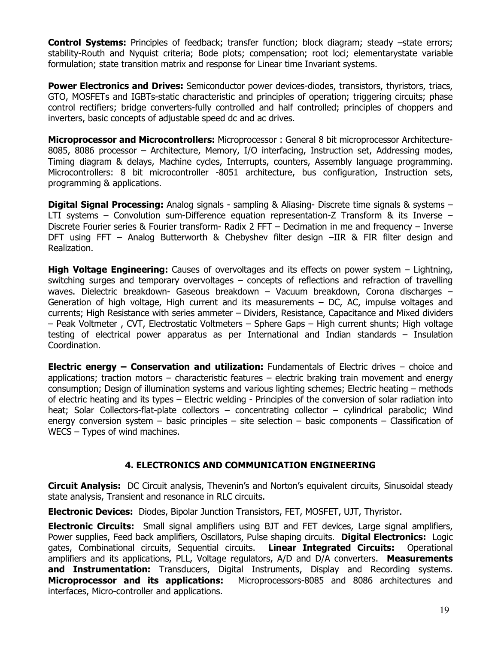**Control Systems:** Principles of feedback; transfer function; block diagram; steady –state errors; stability-Routh and Nyquist criteria; Bode plots; compensation; root loci; elementarystate variable formulation; state transition matrix and response for Linear time Invariant systems.

**Power Electronics and Drives:** Semiconductor power devices-diodes, transistors, thyristors, triacs, GTO, MOSFETs and IGBTs-static characteristic and principles of operation; triggering circuits; phase control rectifiers; bridge converters-fully controlled and half controlled; principles of choppers and inverters, basic concepts of adjustable speed dc and ac drives.

**Microprocessor and Microcontrollers:** Microprocessor : General 8 bit microprocessor Architecture-8085, 8086 processor – Architecture, Memory, I/O interfacing, Instruction set, Addressing modes, Timing diagram & delays, Machine cycles, Interrupts, counters, Assembly language programming. Microcontrollers: 8 bit microcontroller -8051 architecture, bus configuration, Instruction sets, programming & applications.

**Digital Signal Processing:** Analog signals - sampling & Aliasing- Discrete time signals & systems – LTI systems – Convolution sum-Difference equation representation-Z Transform & its Inverse – Discrete Fourier series & Fourier transform- Radix 2 FFT – Decimation in me and frequency – Inverse DFT using FFT – Analog Butterworth & Chebyshev filter design –IIR & FIR filter design and Realization.

**High Voltage Engineering:** Causes of overvoltages and its effects on power system – Lightning, switching surges and temporary overvoltages – concepts of reflections and refraction of travelling waves. Dielectric breakdown- Gaseous breakdown – Vacuum breakdown, Corona discharges – Generation of high voltage, High current and its measurements – DC, AC, impulse voltages and currents; High Resistance with series ammeter – Dividers, Resistance, Capacitance and Mixed dividers – Peak Voltmeter , CVT, Electrostatic Voltmeters – Sphere Gaps – High current shunts; High voltage testing of electrical power apparatus as per International and Indian standards – Insulation Coordination.

**Electric energy – Conservation and utilization:** Fundamentals of Electric drives – choice and applications; traction motors – characteristic features – electric braking train movement and energy consumption; Design of illumination systems and various lighting schemes; Electric heating – methods of electric heating and its types – Electric welding - Principles of the conversion of solar radiation into heat; Solar Collectors-flat-plate collectors – concentrating collector – cylindrical parabolic; Wind energy conversion system – basic principles – site selection – basic components – Classification of WECS – Types of wind machines.

### **4. ELECTRONICS AND COMMUNICATION ENGINEERING**

**Circuit Analysis:** DC Circuit analysis, Thevenin's and Norton's equivalent circuits, Sinusoidal steady state analysis, Transient and resonance in RLC circuits.

**Electronic Devices:** Diodes, Bipolar Junction Transistors, FET, MOSFET, UJT, Thyristor.

**Electronic Circuits:** Small signal amplifiers using BJT and FET devices, Large signal amplifiers, Power supplies, Feed back amplifiers, Oscillators, Pulse shaping circuits. **Digital Electronics:** Logic gates, Combinational circuits, Sequential circuits. **Linear Integrated Circuits:** Operational amplifiers and its applications, PLL, Voltage regulators, A/D and D/A converters. **Measurements**  and Instrumentation: Transducers, Digital Instruments, Display and Recording systems. **Microprocessor and its applications:** Microprocessors-8085 and 8086 architectures and interfaces, Micro-controller and applications.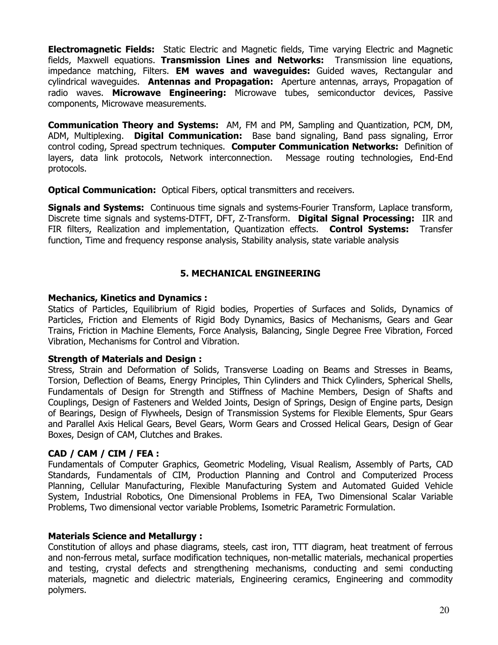**Electromagnetic Fields:** Static Electric and Magnetic fields, Time varying Electric and Magnetic fields, Maxwell equations. **Transmission Lines and Networks:** Transmission line equations, impedance matching, Filters. **EM waves and waveguides:** Guided waves, Rectangular and cylindrical waveguides. **Antennas and Propagation:** Aperture antennas, arrays, Propagation of radio waves. **Microwave Engineering:** Microwave tubes, semiconductor devices, Passive components, Microwave measurements.

**Communication Theory and Systems:** AM, FM and PM, Sampling and Quantization, PCM, DM, ADM, Multiplexing. **Digital Communication:** Base band signaling, Band pass signaling, Error control coding, Spread spectrum techniques. **Computer Communication Networks:** Definition of layers, data link protocols, Network interconnection. Message routing technologies, End-End protocols.

**Optical Communication:** Optical Fibers, optical transmitters and receivers.

**Signals and Systems:** Continuous time signals and systems-Fourier Transform, Laplace transform, Discrete time signals and systems-DTFT, DFT, Z-Transform. **Digital Signal Processing:** IIR and FIR filters, Realization and implementation, Quantization effects. **Control Systems:** Transfer function, Time and frequency response analysis, Stability analysis, state variable analysis

## **5. MECHANICAL ENGINEERING**

## **Mechanics, Kinetics and Dynamics :**

Statics of Particles, Equilibrium of Rigid bodies, Properties of Surfaces and Solids, Dynamics of Particles, Friction and Elements of Rigid Body Dynamics, Basics of Mechanisms, Gears and Gear Trains, Friction in Machine Elements, Force Analysis, Balancing, Single Degree Free Vibration, Forced Vibration, Mechanisms for Control and Vibration.

## **Strength of Materials and Design :**

Stress, Strain and Deformation of Solids, Transverse Loading on Beams and Stresses in Beams, Torsion, Deflection of Beams, Energy Principles, Thin Cylinders and Thick Cylinders, Spherical Shells, Fundamentals of Design for Strength and Stiffness of Machine Members, Design of Shafts and Couplings, Design of Fasteners and Welded Joints, Design of Springs, Design of Engine parts, Design of Bearings, Design of Flywheels, Design of Transmission Systems for Flexible Elements, Spur Gears and Parallel Axis Helical Gears, Bevel Gears, Worm Gears and Crossed Helical Gears, Design of Gear Boxes, Design of CAM, Clutches and Brakes.

## **CAD / CAM / CIM / FEA :**

Fundamentals of Computer Graphics, Geometric Modeling, Visual Realism, Assembly of Parts, CAD Standards, Fundamentals of CIM, Production Planning and Control and Computerized Process Planning, Cellular Manufacturing, Flexible Manufacturing System and Automated Guided Vehicle System, Industrial Robotics, One Dimensional Problems in FEA, Two Dimensional Scalar Variable Problems, Two dimensional vector variable Problems, Isometric Parametric Formulation.

## **Materials Science and Metallurgy :**

Constitution of alloys and phase diagrams, steels, cast iron, TTT diagram, heat treatment of ferrous and non-ferrous metal, surface modification techniques, non-metallic materials, mechanical properties and testing, crystal defects and strengthening mechanisms, conducting and semi conducting materials, magnetic and dielectric materials, Engineering ceramics, Engineering and commodity polymers.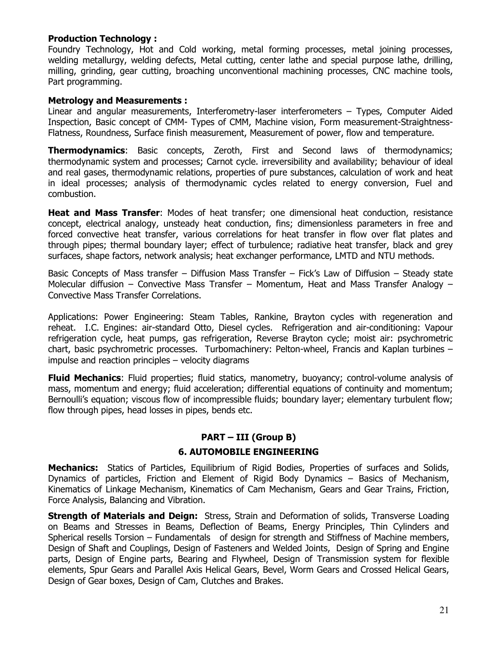### **Production Technology :**

Foundry Technology, Hot and Cold working, metal forming processes, metal joining processes, welding metallurgy, welding defects, Metal cutting, center lathe and special purpose lathe, drilling, milling, grinding, gear cutting, broaching unconventional machining processes, CNC machine tools, Part programming.

#### **Metrology and Measurements :**

Linear and angular measurements, Interferometry-laser interferometers – Types, Computer Aided Inspection, Basic concept of CMM- Types of CMM, Machine vision, Form measurement-Straightness-Flatness, Roundness, Surface finish measurement, Measurement of power, flow and temperature.

**Thermodynamics**: Basic concepts, Zeroth, First and Second laws of thermodynamics; thermodynamic system and processes; Carnot cycle. irreversibility and availability; behaviour of ideal and real gases, thermodynamic relations, properties of pure substances, calculation of work and heat in ideal processes; analysis of thermodynamic cycles related to energy conversion, Fuel and combustion.

**Heat and Mass Transfer**: Modes of heat transfer; one dimensional heat conduction, resistance concept, electrical analogy, unsteady heat conduction, fins; dimensionless parameters in free and forced convective heat transfer, various correlations for heat transfer in flow over flat plates and through pipes; thermal boundary layer; effect of turbulence; radiative heat transfer, black and grey surfaces, shape factors, network analysis; heat exchanger performance, LMTD and NTU methods.

Basic Concepts of Mass transfer – Diffusion Mass Transfer – Fick's Law of Diffusion – Steady state Molecular diffusion – Convective Mass Transfer – Momentum, Heat and Mass Transfer Analogy – Convective Mass Transfer Correlations.

Applications: Power Engineering: Steam Tables, Rankine, Brayton cycles with regeneration and reheat. I.C. Engines: air-standard Otto, Diesel cycles. Refrigeration and air-conditioning: Vapour refrigeration cycle, heat pumps, gas refrigeration, Reverse Brayton cycle; moist air: psychrometric chart, basic psychrometric processes. Turbomachinery: Pelton-wheel, Francis and Kaplan turbines – impulse and reaction principles – velocity diagrams

**Fluid Mechanics**: Fluid properties; fluid statics, manometry, buoyancy; control-volume analysis of mass, momentum and energy; fluid acceleration; differential equations of continuity and momentum; Bernoulli's equation; viscous flow of incompressible fluids; boundary layer; elementary turbulent flow; flow through pipes, head losses in pipes, bends etc.

### **PART – III (Group B)**

#### **6. AUTOMOBILE ENGINEERING**

**Mechanics:** Statics of Particles, Equilibrium of Rigid Bodies, Properties of surfaces and Solids, Dynamics of particles, Friction and Element of Rigid Body Dynamics – Basics of Mechanism, Kinematics of Linkage Mechanism, Kinematics of Cam Mechanism, Gears and Gear Trains, Friction, Force Analysis, Balancing and Vibration.

**Strength of Materials and Deign:** Stress, Strain and Deformation of solids, Transverse Loading on Beams and Stresses in Beams, Deflection of Beams, Energy Principles, Thin Cylinders and Spherical resells Torsion – Fundamentals of design for strength and Stiffness of Machine members, Design of Shaft and Couplings, Design of Fasteners and Welded Joints, Design of Spring and Engine parts, Design of Engine parts, Bearing and Flywheel, Design of Transmission system for flexible elements, Spur Gears and Parallel Axis Helical Gears, Bevel, Worm Gears and Crossed Helical Gears, Design of Gear boxes, Design of Cam, Clutches and Brakes.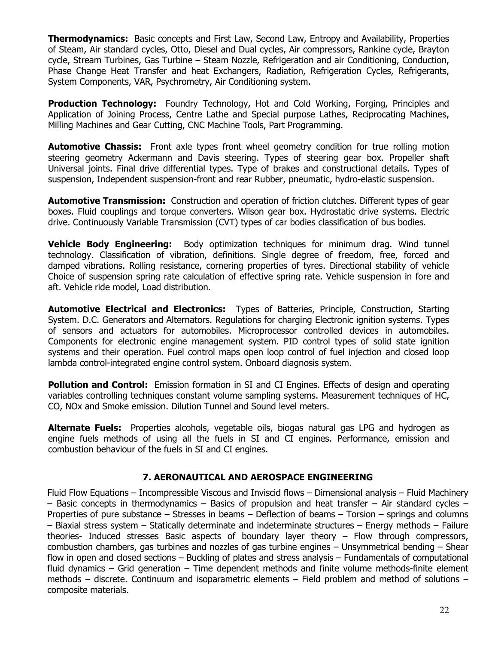**Thermodynamics:** Basic concepts and First Law, Second Law, Entropy and Availability, Properties of Steam, Air standard cycles, Otto, Diesel and Dual cycles, Air compressors, Rankine cycle, Brayton cycle, Stream Turbines, Gas Turbine – Steam Nozzle, Refrigeration and air Conditioning, Conduction, Phase Change Heat Transfer and heat Exchangers, Radiation, Refrigeration Cycles, Refrigerants, System Components, VAR, Psychrometry, Air Conditioning system.

**Production Technology:** Foundry Technology, Hot and Cold Working, Forging, Principles and Application of Joining Process, Centre Lathe and Special purpose Lathes, Reciprocating Machines, Milling Machines and Gear Cutting, CNC Machine Tools, Part Programming.

**Automotive Chassis:** Front axle types front wheel geometry condition for true rolling motion steering geometry Ackermann and Davis steering. Types of steering gear box. Propeller shaft Universal joints. Final drive differential types. Type of brakes and constructional details. Types of suspension, Independent suspension-front and rear Rubber, pneumatic, hydro-elastic suspension.

**Automotive Transmission:** Construction and operation of friction clutches. Different types of gear boxes. Fluid couplings and torque converters. Wilson gear box. Hydrostatic drive systems. Electric drive. Continuously Variable Transmission (CVT) types of car bodies classification of bus bodies.

**Vehicle Body Engineering:** Body optimization techniques for minimum drag. Wind tunnel technology. Classification of vibration, definitions. Single degree of freedom, free, forced and damped vibrations. Rolling resistance, cornering properties of tyres. Directional stability of vehicle Choice of suspension spring rate calculation of effective spring rate. Vehicle suspension in fore and aft. Vehicle ride model, Load distribution.

**Automotive Electrical and Electronics:** Types of Batteries, Principle, Construction, Starting System. D.C. Generators and Alternators. Regulations for charging Electronic ignition systems. Types of sensors and actuators for automobiles. Microprocessor controlled devices in automobiles. Components for electronic engine management system. PID control types of solid state ignition systems and their operation. Fuel control maps open loop control of fuel injection and closed loop lambda control-integrated engine control system. Onboard diagnosis system.

**Pollution and Control:** Emission formation in SI and CI Engines. Effects of design and operating variables controlling techniques constant volume sampling systems. Measurement techniques of HC, CO, NOx and Smoke emission. Dilution Tunnel and Sound level meters.

**Alternate Fuels:** Properties alcohols, vegetable oils, biogas natural gas LPG and hydrogen as engine fuels methods of using all the fuels in SI and CI engines. Performance, emission and combustion behaviour of the fuels in SI and CI engines.

## **7. AERONAUTICAL AND AEROSPACE ENGINEERING**

Fluid Flow Equations – Incompressible Viscous and Inviscid flows – Dimensional analysis – Fluid Machinery  $-$  Basic concepts in thermodynamics  $-$  Basics of propulsion and heat transfer  $-$  Air standard cycles  $-$ Properties of pure substance – Stresses in beams – Deflection of beams – Torsion – springs and columns – Biaxial stress system – Statically determinate and indeterminate structures – Energy methods – Failure theories- Induced stresses Basic aspects of boundary layer theory – Flow through compressors, combustion chambers, gas turbines and nozzles of gas turbine engines – Unsymmetrical bending – Shear flow in open and closed sections – Buckling of plates and stress analysis – Fundamentals of computational fluid dynamics – Grid generation – Time dependent methods and finite volume methods-finite element methods – discrete. Continuum and isoparametric elements – Field problem and method of solutions – composite materials.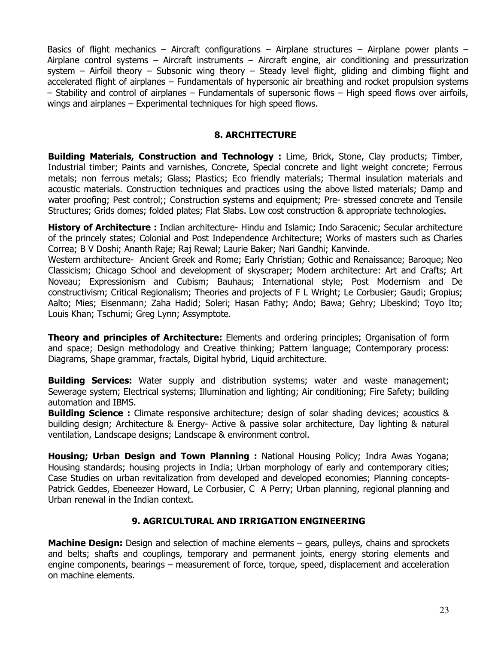Basics of flight mechanics – Aircraft configurations – Airplane structures – Airplane power plants – Airplane control systems – Aircraft instruments – Aircraft engine, air conditioning and pressurization system – Airfoil theory – Subsonic wing theory – Steady level flight, gliding and climbing flight and accelerated flight of airplanes – Fundamentals of hypersonic air breathing and rocket propulsion systems – Stability and control of airplanes – Fundamentals of supersonic flows – High speed flows over airfoils, wings and airplanes – Experimental techniques for high speed flows.

## **8. ARCHITECTURE**

**Building Materials, Construction and Technology :** Lime, Brick, Stone, Clay products; Timber, Industrial timber; Paints and varnishes, Concrete, Special concrete and light weight concrete; Ferrous metals; non ferrous metals; Glass; Plastics; Eco friendly materials; Thermal insulation materials and acoustic materials. Construction techniques and practices using the above listed materials; Damp and water proofing; Pest control;; Construction systems and equipment; Pre- stressed concrete and Tensile Structures; Grids domes; folded plates; Flat Slabs. Low cost construction & appropriate technologies.

**History of Architecture :** Indian architecture- Hindu and Islamic; Indo Saracenic; Secular architecture of the princely states; Colonial and Post Independence Architecture; Works of masters such as Charles Correa; B V Doshi; Ananth Raje; Raj Rewal; Laurie Baker; Nari Gandhi; Kanvinde.

Western architecture- Ancient Greek and Rome; Early Christian; Gothic and Renaissance; Baroque; Neo Classicism; Chicago School and development of skyscraper; Modern architecture: Art and Crafts; Art Noveau; Expressionism and Cubism; Bauhaus; International style; Post Modernism and De constructivism; Critical Regionalism; Theories and projects of F L Wright; Le Corbusier; Gaudi; Gropius; Aalto; Mies; Eisenmann; Zaha Hadid; Soleri; Hasan Fathy; Ando; Bawa; Gehry; Libeskind; Toyo Ito; Louis Khan; Tschumi; Greg Lynn; Assymptote.

**Theory and principles of Architecture:** Elements and ordering principles; Organisation of form and space; Design methodology and Creative thinking; Pattern language; Contemporary process: Diagrams, Shape grammar, fractals, Digital hybrid, Liquid architecture.

**Building Services:** Water supply and distribution systems; water and waste management; Sewerage system; Electrical systems; Illumination and lighting; Air conditioning; Fire Safety; building automation and IBMS.

**Building Science :** Climate responsive architecture; design of solar shading devices; acoustics & building design; Architecture & Energy- Active & passive solar architecture, Day lighting & natural ventilation, Landscape designs; Landscape & environment control.

**Housing; Urban Design and Town Planning :** National Housing Policy; Indra Awas Yogana; Housing standards; housing projects in India; Urban morphology of early and contemporary cities; Case Studies on urban revitalization from developed and developed economies; Planning concepts-Patrick Geddes, Ebeneezer Howard, Le Corbusier, C A Perry; Urban planning, regional planning and Urban renewal in the Indian context.

# **9. AGRICULTURAL AND IRRIGATION ENGINEERING**

**Machine Design:** Design and selection of machine elements – gears, pulleys, chains and sprockets and belts; shafts and couplings, temporary and permanent joints, energy storing elements and engine components, bearings – measurement of force, torque, speed, displacement and acceleration on machine elements.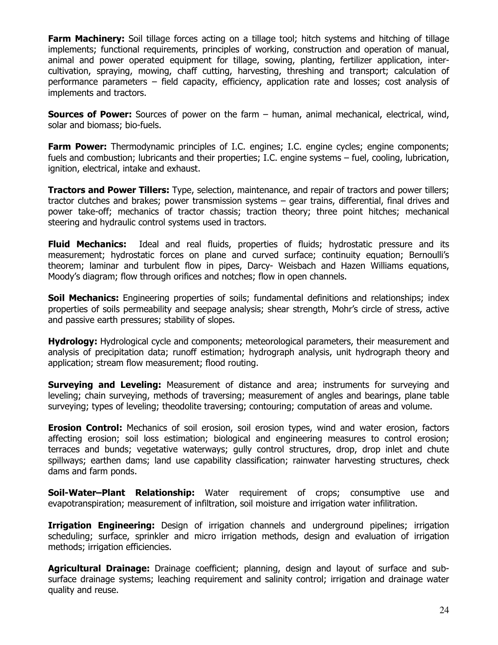**Farm Machinery:** Soil tillage forces acting on a tillage tool; hitch systems and hitching of tillage implements; functional requirements, principles of working, construction and operation of manual, animal and power operated equipment for tillage, sowing, planting, fertilizer application, intercultivation, spraying, mowing, chaff cutting, harvesting, threshing and transport; calculation of performance parameters – field capacity, efficiency, application rate and losses; cost analysis of implements and tractors.

**Sources of Power:** Sources of power on the farm – human, animal mechanical, electrical, wind, solar and biomass; bio-fuels.

**Farm Power:** Thermodynamic principles of I.C. engines; I.C. engine cycles; engine components; fuels and combustion; lubricants and their properties; I.C. engine systems – fuel, cooling, lubrication, ignition, electrical, intake and exhaust.

**Tractors and Power Tillers:** Type, selection, maintenance, and repair of tractors and power tillers; tractor clutches and brakes; power transmission systems – gear trains, differential, final drives and power take-off; mechanics of tractor chassis; traction theory; three point hitches; mechanical steering and hydraulic control systems used in tractors.

**Fluid Mechanics:** Ideal and real fluids, properties of fluids; hydrostatic pressure and its measurement; hydrostatic forces on plane and curved surface; continuity equation; Bernoulli's theorem; laminar and turbulent flow in pipes, Darcy- Weisbach and Hazen Williams equations, Moody's diagram; flow through orifices and notches; flow in open channels.

**Soil Mechanics:** Engineering properties of soils; fundamental definitions and relationships; index properties of soils permeability and seepage analysis; shear strength, Mohr's circle of stress, active and passive earth pressures; stability of slopes.

**Hydrology:** Hydrological cycle and components; meteorological parameters, their measurement and analysis of precipitation data; runoff estimation; hydrograph analysis, unit hydrograph theory and application; stream flow measurement; flood routing.

**Surveying and Leveling:** Measurement of distance and area; instruments for surveying and leveling; chain surveying, methods of traversing; measurement of angles and bearings, plane table surveying; types of leveling; theodolite traversing; contouring; computation of areas and volume.

**Erosion Control:** Mechanics of soil erosion, soil erosion types, wind and water erosion, factors affecting erosion; soil loss estimation; biological and engineering measures to control erosion; terraces and bunds; vegetative waterways; gully control structures, drop, drop inlet and chute spillways; earthen dams; land use capability classification; rainwater harvesting structures, check dams and farm ponds.

**Soil-Water–Plant Relationship:** Water requirement of crops; consumptive use and evapotranspiration; measurement of infiltration, soil moisture and irrigation water infilitration.

**Irrigation Engineering:** Design of irrigation channels and underground pipelines; irrigation scheduling; surface, sprinkler and micro irrigation methods, design and evaluation of irrigation methods; irrigation efficiencies.

**Agricultural Drainage:** Drainage coefficient; planning, design and layout of surface and subsurface drainage systems; leaching requirement and salinity control; irrigation and drainage water quality and reuse.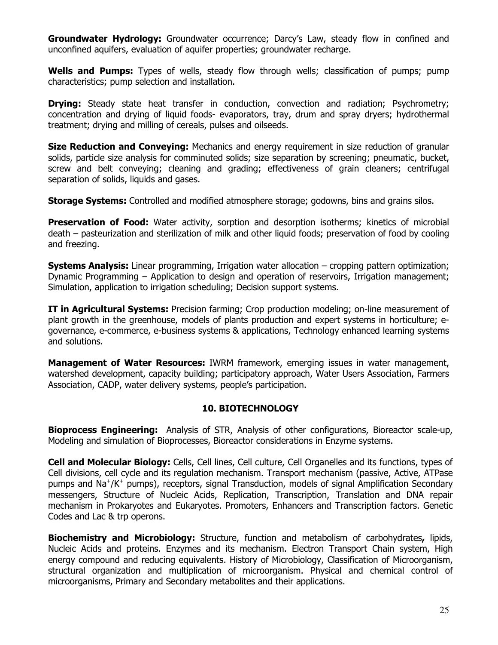**Groundwater Hydrology:** Groundwater occurrence; Darcy's Law, steady flow in confined and unconfined aquifers, evaluation of aquifer properties; groundwater recharge.

**Wells and Pumps:** Types of wells, steady flow through wells; classification of pumps; pump characteristics; pump selection and installation.

**Drying:** Steady state heat transfer in conduction, convection and radiation; Psychrometry; concentration and drying of liquid foods- evaporators, tray, drum and spray dryers; hydrothermal treatment; drying and milling of cereals, pulses and oilseeds.

**Size Reduction and Conveying:** Mechanics and energy requirement in size reduction of granular solids, particle size analysis for comminuted solids; size separation by screening; pneumatic, bucket, screw and belt conveying; cleaning and grading; effectiveness of grain cleaners; centrifugal separation of solids, liquids and gases.

**Storage Systems:** Controlled and modified atmosphere storage; godowns, bins and grains silos.

**Preservation of Food:** Water activity, sorption and desorption isotherms; kinetics of microbial death – pasteurization and sterilization of milk and other liquid foods; preservation of food by cooling and freezing.

**Systems Analysis:** Linear programming, Irrigation water allocation – cropping pattern optimization; Dynamic Programming – Application to design and operation of reservoirs, Irrigation management; Simulation, application to irrigation scheduling; Decision support systems.

**IT in Agricultural Systems:** Precision farming; Crop production modeling; on-line measurement of plant growth in the greenhouse, models of plants production and expert systems in horticulture; egovernance, e-commerce, e-business systems & applications, Technology enhanced learning systems and solutions.

**Management of Water Resources:** IWRM framework, emerging issues in water management, watershed development, capacity building; participatory approach, Water Users Association, Farmers Association, CADP, water delivery systems, people's participation.

## **10. BIOTECHNOLOGY**

**Bioprocess Engineering:** Analysis of STR, Analysis of other configurations, Bioreactor scale-up, Modeling and simulation of Bioprocesses, Bioreactor considerations in Enzyme systems.

**Cell and Molecular Biology:** Cells, Cell lines, Cell culture, Cell Organelles and its functions, types of Cell divisions, cell cycle and its regulation mechanism. Transport mechanism (passive, Active, ATPase pumps and Na<sup>+</sup>/K<sup>+</sup> pumps), receptors, signal Transduction, models of signal Amplification Secondary messengers, Structure of Nucleic Acids, Replication, Transcription, Translation and DNA repair mechanism in Prokaryotes and Eukaryotes. Promoters, Enhancers and Transcription factors. Genetic Codes and Lac & trp operons.

**Biochemistry and Microbiology:** Structure, function and metabolism of carbohydrates**,** lipids, Nucleic Acids and proteins. Enzymes and its mechanism. Electron Transport Chain system, High energy compound and reducing equivalents. History of Microbiology, Classification of Microorganism, structural organization and multiplication of microorganism. Physical and chemical control of microorganisms, Primary and Secondary metabolites and their applications.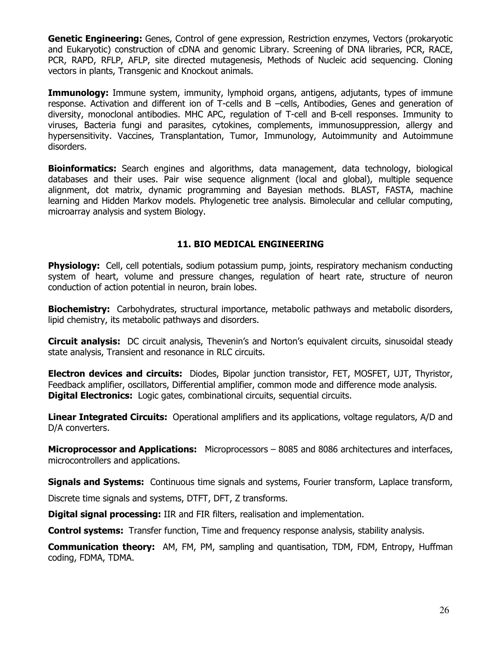**Genetic Engineering:** Genes, Control of gene expression, Restriction enzymes, Vectors (prokaryotic and Eukaryotic) construction of cDNA and genomic Library. Screening of DNA libraries, PCR, RACE, PCR, RAPD, RFLP, AFLP, site directed mutagenesis, Methods of Nucleic acid sequencing. Cloning vectors in plants, Transgenic and Knockout animals.

**Immunology:** Immune system, immunity, lymphoid organs, antigens, adjutants, types of immune response. Activation and different ion of T-cells and B –cells, Antibodies, Genes and generation of diversity, monoclonal antibodies. MHC APC, regulation of T-cell and B-cell responses. Immunity to viruses, Bacteria fungi and parasites, cytokines, complements, immunosuppression, allergy and hypersensitivity. Vaccines, Transplantation, Tumor, Immunology, Autoimmunity and Autoimmune disorders.

**Bioinformatics:** Search engines and algorithms, data management, data technology, biological databases and their uses. Pair wise sequence alignment (local and global), multiple sequence alignment, dot matrix, dynamic programming and Bayesian methods. BLAST, FASTA, machine learning and Hidden Markov models. Phylogenetic tree analysis. Bimolecular and cellular computing, microarray analysis and system Biology.

## **11. BIO MEDICAL ENGINEERING**

**Physiology:** Cell, cell potentials, sodium potassium pump, joints, respiratory mechanism conducting system of heart, volume and pressure changes, regulation of heart rate, structure of neuron conduction of action potential in neuron, brain lobes.

**Biochemistry:** Carbohydrates, structural importance, metabolic pathways and metabolic disorders, lipid chemistry, its metabolic pathways and disorders.

**Circuit analysis:** DC circuit analysis, Thevenin's and Norton's equivalent circuits, sinusoidal steady state analysis, Transient and resonance in RLC circuits.

**Electron devices and circuits:** Diodes, Bipolar junction transistor, FET, MOSFET, UJT, Thyristor, Feedback amplifier, oscillators, Differential amplifier, common mode and difference mode analysis. **Digital Electronics:** Logic gates, combinational circuits, sequential circuits.

**Linear Integrated Circuits:** Operational amplifiers and its applications, voltage regulators, A/D and D/A converters.

**Microprocessor and Applications:** Microprocessors – 8085 and 8086 architectures and interfaces, microcontrollers and applications.

**Signals and Systems:** Continuous time signals and systems, Fourier transform, Laplace transform,

Discrete time signals and systems, DTFT, DFT, Z transforms.

**Digital signal processing:** IIR and FIR filters, realisation and implementation.

**Control systems:** Transfer function, Time and frequency response analysis, stability analysis.

**Communication theory:** AM, FM, PM, sampling and quantisation, TDM, FDM, Entropy, Huffman coding, FDMA, TDMA.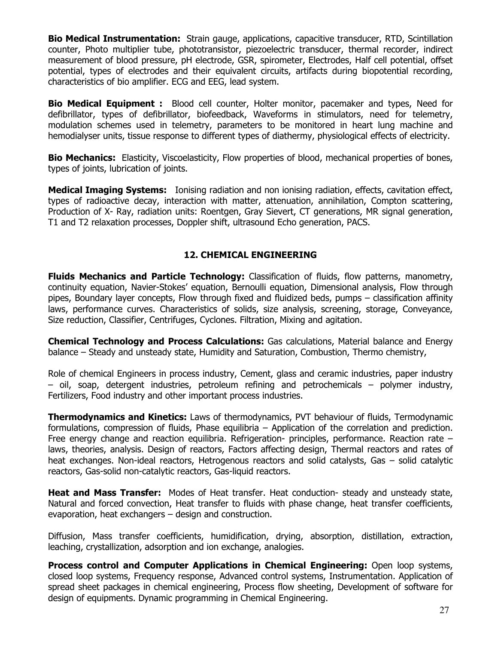**Bio Medical Instrumentation:** Strain gauge, applications, capacitive transducer, RTD, Scintillation counter, Photo multiplier tube, phototransistor, piezoelectric transducer, thermal recorder, indirect measurement of blood pressure, pH electrode, GSR, spirometer, Electrodes, Half cell potential, offset potential, types of electrodes and their equivalent circuits, artifacts during biopotential recording, characteristics of bio amplifier. ECG and EEG, lead system.

**Bio Medical Equipment :** Blood cell counter, Holter monitor, pacemaker and types, Need for defibrillator, types of defibrillator, biofeedback, Waveforms in stimulators, need for telemetry, modulation schemes used in telemetry, parameters to be monitored in heart lung machine and hemodialyser units, tissue response to different types of diathermy, physiological effects of electricity.

**Bio Mechanics:** Elasticity, Viscoelasticity, Flow properties of blood, mechanical properties of bones, types of joints, lubrication of joints.

**Medical Imaging Systems:** Ionising radiation and non ionising radiation, effects, cavitation effect, types of radioactive decay, interaction with matter, attenuation, annihilation, Compton scattering, Production of X- Ray, radiation units: Roentgen, Gray Sievert, CT generations, MR signal generation, T1 and T2 relaxation processes, Doppler shift, ultrasound Echo generation, PACS.

## **12. CHEMICAL ENGINEERING**

**Fluids Mechanics and Particle Technology:** Classification of fluids, flow patterns, manometry, continuity equation, Navier-Stokes' equation, Bernoulli equation, Dimensional analysis, Flow through pipes, Boundary layer concepts, Flow through fixed and fluidized beds, pumps – classification affinity laws, performance curves. Characteristics of solids, size analysis, screening, storage, Conveyance, Size reduction, Classifier, Centrifuges, Cyclones. Filtration, Mixing and agitation.

**Chemical Technology and Process Calculations:** Gas calculations, Material balance and Energy balance – Steady and unsteady state, Humidity and Saturation, Combustion, Thermo chemistry,

Role of chemical Engineers in process industry, Cement, glass and ceramic industries, paper industry – oil, soap, detergent industries, petroleum refining and petrochemicals – polymer industry, Fertilizers, Food industry and other important process industries.

**Thermodynamics and Kinetics:** Laws of thermodynamics, PVT behaviour of fluids, Termodynamic formulations, compression of fluids, Phase equilibria – Application of the correlation and prediction. Free energy change and reaction equilibria. Refrigeration- principles, performance. Reaction rate – laws, theories, analysis. Design of reactors, Factors affecting design, Thermal reactors and rates of heat exchanges. Non-ideal reactors, Hetrogenous reactors and solid catalysts, Gas – solid catalytic reactors, Gas-solid non-catalytic reactors, Gas-liquid reactors.

**Heat and Mass Transfer:** Modes of Heat transfer. Heat conduction- steady and unsteady state, Natural and forced convection, Heat transfer to fluids with phase change, heat transfer coefficients, evaporation, heat exchangers – design and construction.

Diffusion, Mass transfer coefficients, humidification, drying, absorption, distillation, extraction, leaching, crystallization, adsorption and ion exchange, analogies.

**Process control and Computer Applications in Chemical Engineering:** Open loop systems, closed loop systems, Frequency response, Advanced control systems, Instrumentation. Application of spread sheet packages in chemical engineering, Process flow sheeting, Development of software for design of equipments. Dynamic programming in Chemical Engineering.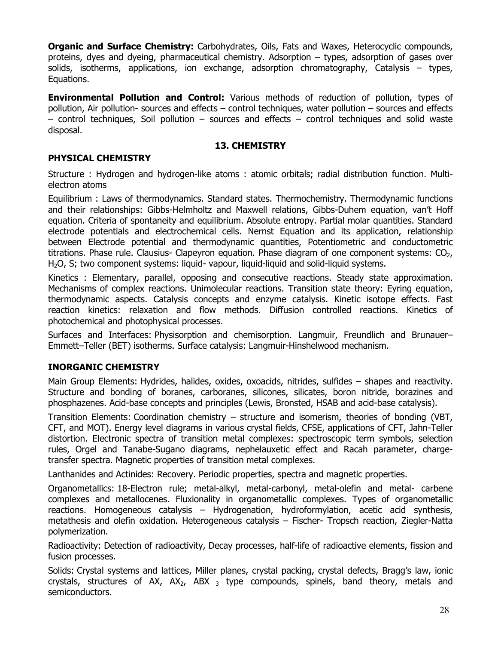**Organic and Surface Chemistry:** Carbohydrates, Oils, Fats and Waxes, Heterocyclic compounds, proteins, dyes and dyeing, pharmaceutical chemistry. Adsorption – types, adsorption of gases over solids, isotherms, applications, ion exchange, adsorption chromatography, Catalysis – types, Equations.

**Environmental Pollution and Control:** Various methods of reduction of pollution, types of pollution, Air pollution- sources and effects – control techniques, water pollution – sources and effects  $-$  control techniques, Soil pollution  $-$  sources and effects  $-$  control techniques and solid waste disposal.

## **13. CHEMISTRY**

## **PHYSICAL CHEMISTRY**

Structure : Hydrogen and hydrogen-like atoms : atomic orbitals; radial distribution function. Multielectron atoms

Equilibrium : Laws of thermodynamics. Standard states. Thermochemistry. Thermodynamic functions and their relationships: Gibbs-Helmholtz and Maxwell relations, Gibbs-Duhem equation, van't Hoff equation. Criteria of spontaneity and equilibrium. Absolute entropy. Partial molar quantities. Standard electrode potentials and electrochemical cells. Nernst Equation and its application, relationship between Electrode potential and thermodynamic quantities, Potentiometric and conductometric titrations. Phase rule. Clausius- Clapeyron equation. Phase diagram of one component systems:  $CO<sub>2</sub>$ , H<sub>2</sub>O, S; two component systems: liquid- vapour, liquid-liquid and solid-liquid systems.

Kinetics : Elementary, parallel, opposing and consecutive reactions. Steady state approximation. Mechanisms of complex reactions. Unimolecular reactions. Transition state theory: Eyring equation, thermodynamic aspects. Catalysis concepts and enzyme catalysis. Kinetic isotope effects. Fast reaction kinetics: relaxation and flow methods. Diffusion controlled reactions. Kinetics of photochemical and photophysical processes.

Surfaces and Interfaces: Physisorption and chemisorption. Langmuir, Freundlich and Brunauer– Emmett–Teller (BET) isotherms. Surface catalysis: Langmuir-Hinshelwood mechanism.

## **INORGANIC CHEMISTRY**

Main Group Elements: Hydrides, halides, oxides, oxoacids, nitrides, sulfides – shapes and reactivity. Structure and bonding of boranes, carboranes, silicones, silicates, boron nitride, borazines and phosphazenes. Acid-base concepts and principles (Lewis, Bronsted, HSAB and acid-base catalysis).

Transition Elements: Coordination chemistry – structure and isomerism, theories of bonding (VBT, CFT, and MOT). Energy level diagrams in various crystal fields, CFSE, applications of CFT, Jahn-Teller distortion. Electronic spectra of transition metal complexes: spectroscopic term symbols, selection rules, Orgel and Tanabe-Sugano diagrams, nephelauxetic effect and Racah parameter, chargetransfer spectra. Magnetic properties of transition metal complexes.

Lanthanides and Actinides: Recovery. Periodic properties, spectra and magnetic properties.

Organometallics: 18-Electron rule; metal-alkyl, metal-carbonyl, metal-olefin and metal- carbene complexes and metallocenes. Fluxionality in organometallic complexes. Types of organometallic reactions. Homogeneous catalysis – Hydrogenation, hydroformylation, acetic acid synthesis, metathesis and olefin oxidation. Heterogeneous catalysis – Fischer- Tropsch reaction, Ziegler-Natta polymerization.

Radioactivity: Detection of radioactivity, Decay processes, half-life of radioactive elements, fission and fusion processes.

Solids: Crystal systems and lattices, Miller planes, crystal packing, crystal defects, Bragg's law, ionic crystals, structures of AX,  $AX_2$ , ABX  $_3$  type compounds, spinels, band theory, metals and semiconductors.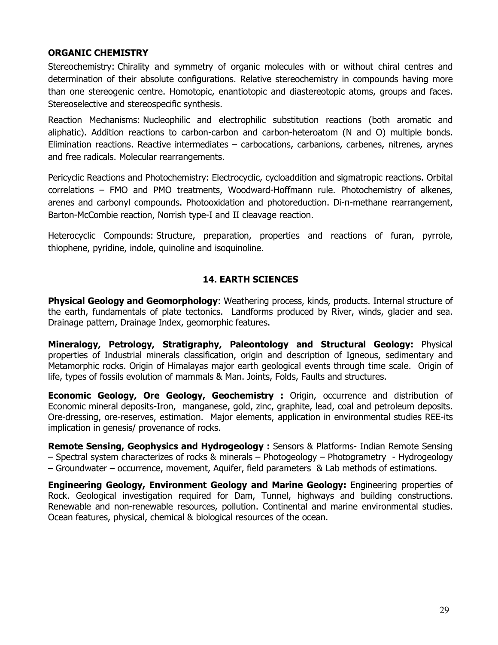## **ORGANIC CHEMISTRY**

Stereochemistry: Chirality and symmetry of organic molecules with or without chiral centres and determination of their absolute configurations. Relative stereochemistry in compounds having more than one stereogenic centre. Homotopic, enantiotopic and diastereotopic atoms, groups and faces. Stereoselective and stereospecific synthesis.

Reaction Mechanisms: Nucleophilic and electrophilic substitution reactions (both aromatic and aliphatic). Addition reactions to carbon-carbon and carbon-heteroatom (N and O) multiple bonds. Elimination reactions. Reactive intermediates – carbocations, carbanions, carbenes, nitrenes, arynes and free radicals. Molecular rearrangements.

Pericyclic Reactions and Photochemistry: Electrocyclic, cycloaddition and sigmatropic reactions. Orbital correlations – FMO and PMO treatments, Woodward-Hoffmann rule. Photochemistry of alkenes, arenes and carbonyl compounds. Photooxidation and photoreduction. Di-π-methane rearrangement, Barton-McCombie reaction, Norrish type-I and II cleavage reaction.

Heterocyclic Compounds: Structure, preparation, properties and reactions of furan, pyrrole, thiophene, pyridine, indole, quinoline and isoquinoline.

## **14. EARTH SCIENCES**

**Physical Geology and Geomorphology**: Weathering process, kinds, products. Internal structure of the earth, fundamentals of plate tectonics. Landforms produced by River, winds, glacier and sea. Drainage pattern, Drainage Index, geomorphic features.

**Mineralogy, Petrology, Stratigraphy, Paleontology and Structural Geology:** Physical properties of Industrial minerals classification, origin and description of Igneous, sedimentary and Metamorphic rocks. Origin of Himalayas major earth geological events through time scale. Origin of life, types of fossils evolution of mammals & Man. Joints, Folds, Faults and structures.

**Economic Geology, Ore Geology, Geochemistry :** Origin, occurrence and distribution of Economic mineral deposits-Iron, manganese, gold, zinc, graphite, lead, coal and petroleum deposits. Ore-dressing, ore-reserves, estimation. Major elements, application in environmental studies REE-its implication in genesis/ provenance of rocks.

**Remote Sensing, Geophysics and Hydrogeology :** Sensors & Platforms- Indian Remote Sensing – Spectral system characterizes of rocks & minerals – Photogeology – Photogrametry - Hydrogeology – Groundwater – occurrence, movement, Aquifer, field parameters & Lab methods of estimations.

**Engineering Geology, Environment Geology and Marine Geology:** Engineering properties of Rock. Geological investigation required for Dam, Tunnel, highways and building constructions. Renewable and non-renewable resources, pollution. Continental and marine environmental studies. Ocean features, physical, chemical & biological resources of the ocean.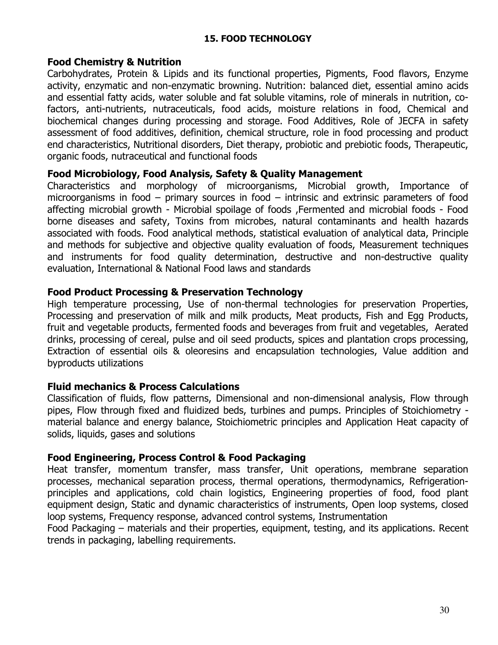## **15. FOOD TECHNOLOGY**

## **Food Chemistry & Nutrition**

Carbohydrates, Protein & Lipids and its functional properties, Pigments, Food flavors, Enzyme activity, enzymatic and non-enzymatic browning. Nutrition: balanced diet, essential amino acids and essential fatty acids, water soluble and fat soluble vitamins, role of minerals in nutrition, cofactors, anti-nutrients, nutraceuticals, food acids, moisture relations in food, Chemical and biochemical changes during processing and storage. Food Additives, Role of JECFA in safety assessment of food additives, definition, chemical structure, role in food processing and product end characteristics, Nutritional disorders, Diet therapy, probiotic and prebiotic foods, Therapeutic, organic foods, nutraceutical and functional foods

## **Food Microbiology, Food Analysis, Safety & Quality Management**

Characteristics and morphology of microorganisms, Microbial growth, Importance of microorganisms in food – primary sources in food – intrinsic and extrinsic parameters of food affecting microbial growth - Microbial spoilage of foods ,Fermented and microbial foods - Food borne diseases and safety, Toxins from microbes, natural contaminants and health hazards associated with foods. Food analytical methods, statistical evaluation of analytical data, Principle and methods for subjective and objective quality evaluation of foods, Measurement techniques and instruments for food quality determination, destructive and non-destructive quality evaluation, International & National Food laws and standards

## **Food Product Processing & Preservation Technology**

High temperature processing, Use of non-thermal technologies for preservation Properties, Processing and preservation of milk and milk products, Meat products, Fish and Egg Products, fruit and vegetable products, fermented foods and beverages from fruit and vegetables, Aerated drinks, processing of cereal, pulse and oil seed products, spices and plantation crops processing, Extraction of essential oils & oleoresins and encapsulation technologies, Value addition and byproducts utilizations

# **Fluid mechanics & Process Calculations**

Classification of fluids, flow patterns, Dimensional and non-dimensional analysis, Flow through pipes, Flow through fixed and fluidized beds, turbines and pumps. Principles of Stoichiometry material balance and energy balance, Stoichiometric principles and Application Heat capacity of solids, liquids, gases and solutions

## **Food Engineering, Process Control & Food Packaging**

Heat transfer, momentum transfer, mass transfer, Unit operations, membrane separation processes, mechanical separation process, thermal operations, thermodynamics, Refrigerationprinciples and applications, cold chain logistics, Engineering properties of food, food plant equipment design, Static and dynamic characteristics of instruments, Open loop systems, closed loop systems, Frequency response, advanced control systems, Instrumentation

Food Packaging – materials and their properties, equipment, testing, and its applications. Recent trends in packaging, labelling requirements.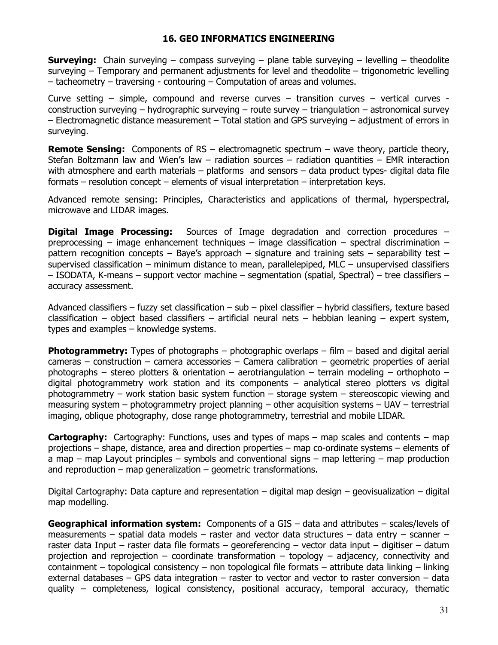### **16. GEO INFORMATICS ENGINEERING**

**Surveying:** Chain surveying – compass surveying – plane table surveying – levelling – theodolite surveying – Temporary and permanent adjustments for level and theodolite – trigonometric levelling – tacheometry – traversing - contouring – Computation of areas and volumes.

Curve setting – simple, compound and reverse curves – transition curves – vertical curves construction surveying – hydrographic surveying – route survey – triangulation – astronomical survey – Electromagnetic distance measurement – Total station and GPS surveying – adjustment of errors in surveying.

**Remote Sensing:** Components of RS – electromagnetic spectrum – wave theory, particle theory, Stefan Boltzmann law and Wien's law  $-$  radiation sources  $-$  radiation quantities  $-$  EMR interaction with atmosphere and earth materials – platforms and sensors – data product types- digital data file formats – resolution concept – elements of visual interpretation – interpretation keys.

Advanced remote sensing: Principles, Characteristics and applications of thermal, hyperspectral, microwave and LIDAR images.

**Digital Image Processing:** Sources of Image degradation and correction procedures – preprocessing – image enhancement techniques – image classification – spectral discrimination – pattern recognition concepts – Baye's approach – signature and training sets – separability test – supervised classification – minimum distance to mean, parallelepiped, MLC – unsupervised classifiers – ISODATA, K-means – support vector machine – segmentation (spatial, Spectral) – tree classifiers – accuracy assessment.

Advanced classifiers – fuzzy set classification – sub – pixel classifier – hybrid classifiers, texture based classification – object based classifiers – artificial neural nets – hebbian leaning – expert system, types and examples – knowledge systems.

**Photogrammetry:** Types of photographs – photographic overlaps – film – based and digital aerial  $cameras - construction - camera accessories - Camera calibration - geometric properties of a  
erial$ photographs – stereo plotters & orientation – aerotriangulation – terrain modeling – orthophoto – digital photogrammetry work station and its components – analytical stereo plotters vs digital photogrammetry – work station basic system function – storage system – stereoscopic viewing and measuring system – photogrammetry project planning – other acquisition systems – UAV – terrestrial imaging, oblique photography, close range photogrammetry, terrestrial and mobile LIDAR.

**Cartography:** Cartography: Functions, uses and types of maps – map scales and contents – map projections – shape, distance, area and direction properties – map co-ordinate systems – elements of a map – map Layout principles – symbols and conventional signs – map lettering – map production and reproduction – map generalization – geometric transformations.

Digital Cartography: Data capture and representation – digital map design – geovisualization – digital map modelling.

**Geographical information system:** Components of a GIS – data and attributes – scales/levels of measurements – spatial data models – raster and vector data structures – data entry – scanner – raster data Input – raster data file formats – georeferencing – vector data input – digitiser – datum projection and reprojection – coordinate transformation – topology – adjacency, connectivity and containment – topological consistency – non topological file formats – attribute data linking – linking external databases – GPS data integration – raster to vector and vector to raster conversion – data quality – completeness, logical consistency, positional accuracy, temporal accuracy, thematic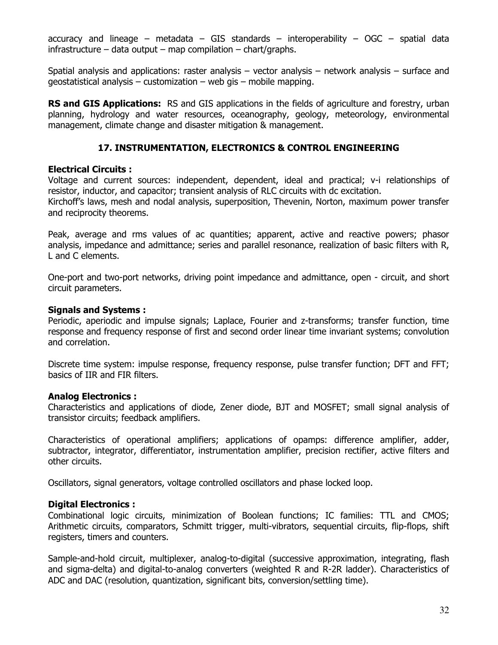accuracy and lineage – metadata – GIS standards – interoperability – OGC – spatial data  $infrastructure - data output - map compilation - chart/graphs.$ 

Spatial analysis and applications: raster analysis – vector analysis – network analysis – surface and geostatistical analysis – customization – web gis – mobile mapping.

**RS and GIS Applications:** RS and GIS applications in the fields of agriculture and forestry, urban planning, hydrology and water resources, oceanography, geology, meteorology, environmental management, climate change and disaster mitigation & management.

## **17. INSTRUMENTATION, ELECTRONICS & CONTROL ENGINEERING**

### **Electrical Circuits :**

Voltage and current sources: independent, dependent, ideal and practical; v-i relationships of resistor, inductor, and capacitor; transient analysis of RLC circuits with dc excitation.

Kirchoff's laws, mesh and nodal analysis, superposition, Thevenin, Norton, maximum power transfer and reciprocity theorems.

Peak, average and rms values of ac quantities; apparent, active and reactive powers; phasor analysis, impedance and admittance; series and parallel resonance, realization of basic filters with R, L and C elements.

One-port and two-port networks, driving point impedance and admittance, open - circuit, and short circuit parameters.

#### **Signals and Systems :**

Periodic, aperiodic and impulse signals; Laplace, Fourier and z-transforms; transfer function, time response and frequency response of first and second order linear time invariant systems; convolution and correlation.

Discrete time system: impulse response, frequency response, pulse transfer function; DFT and FFT; basics of IIR and FIR filters.

### **Analog Electronics :**

Characteristics and applications of diode, Zener diode, BJT and MOSFET; small signal analysis of transistor circuits; feedback amplifiers.

Characteristics of operational amplifiers; applications of opamps: difference amplifier, adder, subtractor, integrator, differentiator, instrumentation amplifier, precision rectifier, active filters and other circuits.

Oscillators, signal generators, voltage controlled oscillators and phase locked loop.

### **Digital Electronics :**

Combinational logic circuits, minimization of Boolean functions; IC families: TTL and CMOS; Arithmetic circuits, comparators, Schmitt trigger, multi-vibrators, sequential circuits, flip-flops, shift registers, timers and counters.

Sample-and-hold circuit, multiplexer, analog-to-digital (successive approximation, integrating, flash and sigma-delta) and digital-to-analog converters (weighted R and R-2R ladder). Characteristics of ADC and DAC (resolution, quantization, significant bits, conversion/settling time).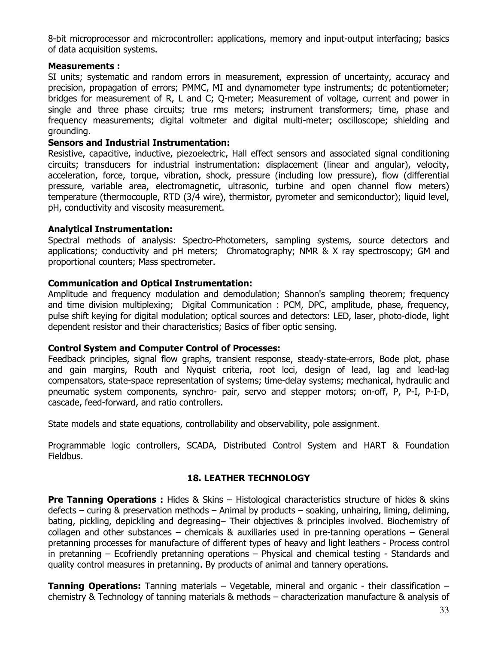8-bit microprocessor and microcontroller: applications, memory and input-output interfacing; basics of data acquisition systems.

#### **Measurements :**

SI units; systematic and random errors in measurement, expression of uncertainty, accuracy and precision, propagation of errors; PMMC, MI and dynamometer type instruments; dc potentiometer; bridges for measurement of R, L and C; Q-meter; Measurement of voltage, current and power in single and three phase circuits; true rms meters; instrument transformers; time, phase and frequency measurements; digital voltmeter and digital multi-meter; oscilloscope; shielding and grounding.

#### **Sensors and Industrial Instrumentation:**

Resistive, capacitive, inductive, piezoelectric, Hall effect sensors and associated signal conditioning circuits; transducers for industrial instrumentation: displacement (linear and angular), velocity, acceleration, force, torque, vibration, shock, pressure (including low pressure), flow (differential pressure, variable area, electromagnetic, ultrasonic, turbine and open channel flow meters) temperature (thermocouple, RTD (3/4 wire), thermistor, pyrometer and semiconductor); liquid level, pH, conductivity and viscosity measurement.

#### **Analytical Instrumentation:**

Spectral methods of analysis: Spectro-Photometers, sampling systems, source detectors and applications; conductivity and pH meters; Chromatography; NMR & X ray spectroscopy; GM and proportional counters; Mass spectrometer.

#### **Communication and Optical Instrumentation:**

Amplitude and frequency modulation and demodulation; Shannon's sampling theorem; frequency and time division multiplexing; Digital Communication : PCM, DPC, amplitude, phase, frequency, pulse shift keying for digital modulation; optical sources and detectors: LED, laser, photo-diode, light dependent resistor and their characteristics; Basics of fiber optic sensing.

#### **Control System and Computer Control of Processes:**

Feedback principles, signal flow graphs, transient response, steady-state-errors, Bode plot, phase and gain margins, Routh and Nyquist criteria, root loci, design of lead, lag and lead-lag compensators, state-space representation of systems; time-delay systems; mechanical, hydraulic and pneumatic system components, synchro- pair, servo and stepper motors; on-off, P, P-I, P-I-D, cascade, feed-forward, and ratio controllers.

State models and state equations, controllability and observability, pole assignment.

Programmable logic controllers, SCADA, Distributed Control System and HART & Foundation Fieldbus.

### **18. LEATHER TECHNOLOGY**

**Pre Tanning Operations :** Hides & Skins – Histological characteristics structure of hides & skins defects – curing & preservation methods – Animal by products – soaking, unhairing, liming, deliming, bating, pickling, depickling and degreasing– Their objectives & principles involved. Biochemistry of collagen and other substances – chemicals & auxiliaries used in pre-tanning operations – General pretanning processes for manufacture of different types of heavy and light leathers - Process control in pretanning – Ecofriendly pretanning operations – Physical and chemical testing - Standards and quality control measures in pretanning. By products of animal and tannery operations.

**Tanning Operations:** Tanning materials – Vegetable, mineral and organic - their classification – chemistry & Technology of tanning materials & methods – characterization manufacture & analysis of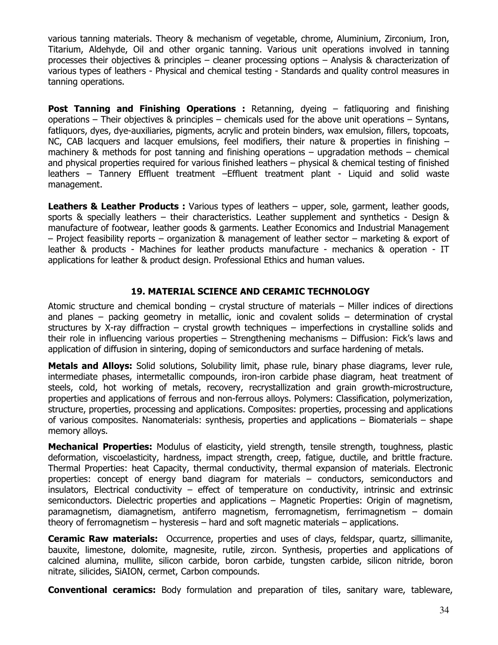various tanning materials. Theory & mechanism of vegetable, chrome, Aluminium, Zirconium, Iron, Titarium, Aldehyde, Oil and other organic tanning. Various unit operations involved in tanning processes their objectives & principles – cleaner processing options – Analysis & characterization of various types of leathers - Physical and chemical testing - Standards and quality control measures in tanning operations.

**Post Tanning and Finishing Operations :** Retanning, dyeing – fatliquoring and finishing operations – Their objectives & principles – chemicals used for the above unit operations – Syntans, fatliquors, dyes, dye-auxiliaries, pigments, acrylic and protein binders, wax emulsion, fillers, topcoats, NC, CAB lacquers and lacquer emulsions, feel modifiers, their nature & properties in finishing  $$ machinery & methods for post tanning and finishing operations – upgradation methods – chemical and physical properties required for various finished leathers – physical & chemical testing of finished leathers – Tannery Effluent treatment –Effluent treatment plant - Liquid and solid waste management.

Leathers & Leather Products : Various types of leathers - upper, sole, garment, leather goods, sports & specially leathers – their characteristics. Leather supplement and synthetics - Design & manufacture of footwear, leather goods & garments. Leather Economics and Industrial Management – Project feasibility reports – organization & management of leather sector – marketing & export of leather & products - Machines for leather products manufacture - mechanics & operation - IT applications for leather & product design. Professional Ethics and human values.

## **19. MATERIAL SCIENCE AND CERAMIC TECHNOLOGY**

Atomic structure and chemical bonding – crystal structure of materials – Miller indices of directions and planes – packing geometry in metallic, ionic and covalent solids – determination of crystal structures by X-ray diffraction – crystal growth techniques – imperfections in crystalline solids and their role in influencing various properties – Strengthening mechanisms – Diffusion: Fick's laws and application of diffusion in sintering, doping of semiconductors and surface hardening of metals.

**Metals and Alloys:** Solid solutions, Solubility limit, phase rule, binary phase diagrams, lever rule, intermediate phases, intermetallic compounds, iron-iron carbide phase diagram, heat treatment of steels, cold, hot working of metals, recovery, recrystallization and grain growth-microstructure, properties and applications of ferrous and non-ferrous alloys. Polymers: Classification, polymerization, structure, properties, processing and applications. Composites: properties, processing and applications of various composites. Nanomaterials: synthesis, properties and applications – Biomaterials – shape memory alloys.

**Mechanical Properties:** Modulus of elasticity, yield strength, tensile strength, toughness, plastic deformation, viscoelasticity, hardness, impact strength, creep, fatigue, ductile, and brittle fracture. Thermal Properties: heat Capacity, thermal conductivity, thermal expansion of materials. Electronic properties: concept of energy band diagram for materials – conductors, semiconductors and insulators, Electrical conductivity – effect of temperature on conductivity, intrinsic and extrinsic semiconductors. Dielectric properties and applications – Magnetic Properties: Origin of magnetism, paramagnetism, diamagnetism, antiferro magnetism, ferromagnetism, ferrimagnetism – domain theory of ferromagnetism – hysteresis – hard and soft magnetic materials – applications.

**Ceramic Raw materials:** Occurrence, properties and uses of clays, feldspar, quartz, sillimanite, bauxite, limestone, dolomite, magnesite, rutile, zircon. Synthesis, properties and applications of calcined alumina, mullite, silicon carbide, boron carbide, tungsten carbide, silicon nitride, boron nitrate, silicides, SiAION, cermet, Carbon compounds.

**Conventional ceramics:** Body formulation and preparation of tiles, sanitary ware, tableware,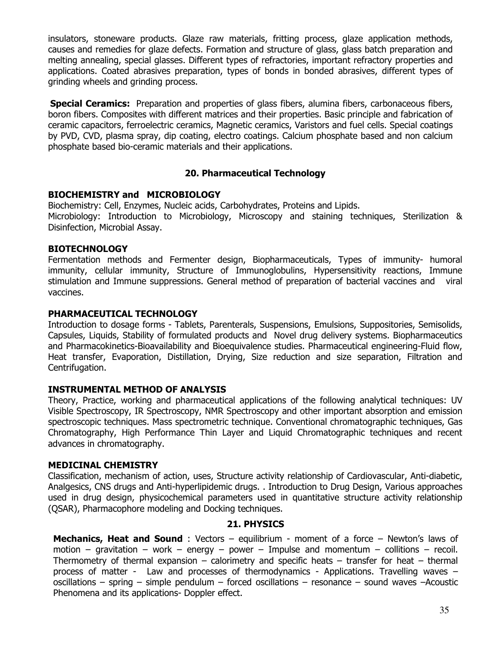insulators, stoneware products. Glaze raw materials, fritting process, glaze application methods, causes and remedies for glaze defects. Formation and structure of glass, glass batch preparation and melting annealing, special glasses. Different types of refractories, important refractory properties and applications. Coated abrasives preparation, types of bonds in bonded abrasives, different types of grinding wheels and grinding process.

**Special Ceramics:** Preparation and properties of glass fibers, alumina fibers, carbonaceous fibers, boron fibers. Composites with different matrices and their properties. Basic principle and fabrication of ceramic capacitors, ferroelectric ceramics, Magnetic ceramics, Varistors and fuel cells. Special coatings by PVD, CVD, plasma spray, dip coating, electro coatings. Calcium phosphate based and non calcium phosphate based bio-ceramic materials and their applications.

## **20. Pharmaceutical Technology**

## **BIOCHEMISTRY and MICROBIOLOGY**

Biochemistry: Cell, Enzymes, Nucleic acids, Carbohydrates, Proteins and Lipids. Microbiology: Introduction to Microbiology, Microscopy and staining techniques, Sterilization & Disinfection, Microbial Assay.

## **BIOTECHNOLOGY**

Fermentation methods and Fermenter design, Biopharmaceuticals, Types of immunity- humoral immunity, cellular immunity, Structure of Immunoglobulins, Hypersensitivity reactions, Immune stimulation and Immune suppressions. General method of preparation of bacterial vaccines and viral vaccines.

## **PHARMACEUTICAL TECHNOLOGY**

Introduction to dosage forms - Tablets, Parenterals, Suspensions, Emulsions, Suppositories, Semisolids, Capsules, Liquids, Stability of formulated products and Novel drug delivery systems. Biopharmaceutics and Pharmacokinetics-Bioavailability and Bioequivalence studies. Pharmaceutical engineering-Fluid flow, Heat transfer, Evaporation, Distillation, Drying, Size reduction and size separation, Filtration and Centrifugation.

## **INSTRUMENTAL METHOD OF ANALYSIS**

Theory, Practice, working and pharmaceutical applications of the following analytical techniques: UV Visible Spectroscopy, IR Spectroscopy, NMR Spectroscopy and other important absorption and emission spectroscopic techniques. Mass spectrometric technique. Conventional chromatographic techniques, Gas Chromatography, High Performance Thin Layer and Liquid Chromatographic techniques and recent advances in chromatography.

### **MEDICINAL CHEMISTRY**

Classification, mechanism of action, uses, Structure activity relationship of Cardiovascular, Anti-diabetic, Analgesics, CNS drugs and Anti-hyperlipidemic drugs. . Introduction to Drug Design, Various approaches used in drug design, physicochemical parameters used in quantitative structure activity relationship (QSAR), Pharmacophore modeling and Docking techniques.

## **21. PHYSICS**

**Mechanics, Heat and Sound** : Vectors – equilibrium - moment of a force – Newton's laws of motion – gravitation – work – energy – power – Impulse and momentum – collitions – recoil. Thermometry of thermal expansion – calorimetry and specific heats – transfer for heat – thermal process of matter - Law and processes of thermodynamics - Applications. Travelling waves – oscillations – spring – simple pendulum – forced oscillations – resonance – sound waves –Acoustic Phenomena and its applications- Doppler effect.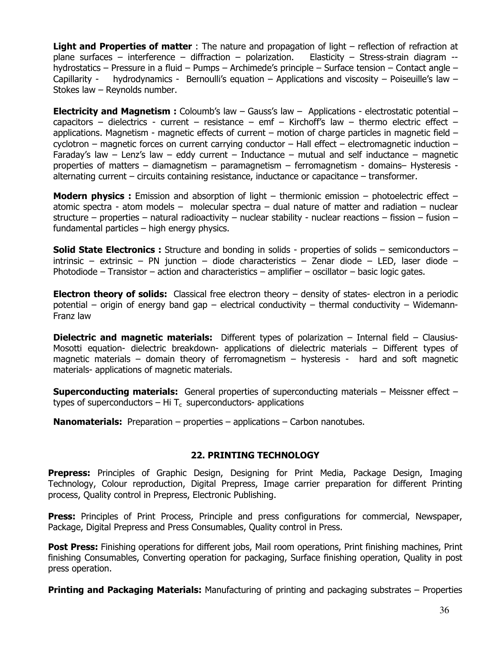**Light and Properties of matter** : The nature and propagation of light – reflection of refraction at plane surfaces – interference – diffraction – polarization. Elasticity – Stress-strain diagram  $$ hydrostatics – Pressure in a fluid – Pumps – Archimede's principle – Surface tension – Contact angle – Capillarity - hydrodynamics - Bernoulli's equation – Applications and viscosity – Poiseuille's law – Stokes law – Reynolds number.

**Electricity and Magnetism :** Coloumb's law – Gauss's law – Applications - electrostatic potential – capacitors – dielectrics - current – resistance – emf – Kirchoff's law – thermo electric effect – applications. Magnetism - magnetic effects of current – motion of charge particles in magnetic field – cyclotron – magnetic forces on current carrying conductor – Hall effect – electromagnetic induction – Faraday's law  $-$  Lenz's law  $-$  eddy current  $-$  Inductance  $-$  mutual and self inductance  $-$  magnetic properties of matters – diamagnetism – paramagnetism – ferromagnetism - domains– Hysteresis alternating current – circuits containing resistance, inductance or capacitance – transformer.

**Modern physics :** Emission and absorption of light – thermionic emission – photoelectric effect – atomic spectra - atom models – molecular spectra – dual nature of matter and radiation – nuclear structure – properties – natural radioactivity – nuclear stability - nuclear reactions – fission – fusion – fundamental particles – high energy physics.

**Solid State Electronics :** Structure and bonding in solids - properties of solids – semiconductors – intrinsic – extrinsic – PN junction – diode characteristics – Zenar diode – LED, laser diode – Photodiode – Transistor – action and characteristics – amplifier – oscillator – basic logic gates.

**Electron theory of solids:** Classical free electron theory – density of states- electron in a periodic potential – origin of energy band gap – electrical conductivity – thermal conductivity – Widemann-Franz law

**Dielectric and magnetic materials:** Different types of polarization – Internal field – Clausius-Mosotti equation- dielectric breakdown- applications of dielectric materials – Different types of magnetic materials – domain theory of ferromagnetism – hysteresis - hard and soft magnetic materials- applications of magnetic materials.

**Superconducting materials:** General properties of superconducting materials – Meissner effect – types of superconductors – Hi  $T_c$  superconductors- applications

**Nanomaterials:** Preparation – properties – applications – Carbon nanotubes.

### **22. PRINTING TECHNOLOGY**

**Prepress:** Principles of Graphic Design, Designing for Print Media, Package Design, Imaging Technology, Colour reproduction, Digital Prepress, Image carrier preparation for different Printing process, Quality control in Prepress, Electronic Publishing.

**Press:** Principles of Print Process, Principle and press configurations for commercial, Newspaper, Package, Digital Prepress and Press Consumables, Quality control in Press.

Post Press: Finishing operations for different jobs, Mail room operations, Print finishing machines, Print finishing Consumables, Converting operation for packaging, Surface finishing operation, Quality in post press operation.

**Printing and Packaging Materials:** Manufacturing of printing and packaging substrates – Properties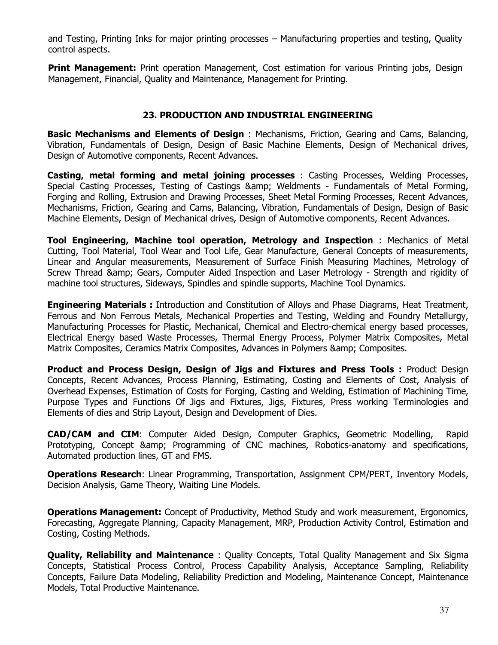and Testing, Printing Inks for major printing processes – Manufacturing properties and testing, Quality control aspects.

**Print Management:** Print operation Management, Cost estimation for various Printing jobs, Design Management, Financial, Quality and Maintenance, Management for Printing.

## **23. PRODUCTION AND INDUSTRIAL ENGINEERING**

**Basic Mechanisms and Elements of Design** : Mechanisms, Friction, Gearing and Cams, Balancing, Vibration, Fundamentals of Design, Design of Basic Machine Elements, Design of Mechanical drives, Design of Automotive components, Recent Advances.

**Casting, metal forming and metal joining processes** : Casting Processes, Welding Processes, Special Casting Processes, Testing of Castings & amp; Weldments - Fundamentals of Metal Forming, Forging and Rolling, Extrusion and Drawing Processes, Sheet Metal Forming Processes, Recent Advances, Mechanisms, Friction, Gearing and Cams, Balancing, Vibration, Fundamentals of Design, Design of Basic Machine Elements, Design of Mechanical drives, Design of Automotive components, Recent Advances.

**Tool Engineering, Machine tool operation, Metrology and Inspection** : Mechanics of Metal Cutting, Tool Material, Tool Wear and Tool Life, Gear Manufacture, General Concepts of measurements, Linear and Angular measurements, Measurement of Surface Finish Measuring Machines, Metrology of Screw Thread & amp; Gears, Computer Aided Inspection and Laser Metrology - Strength and rigidity of machine tool structures, Sideways, Spindles and spindle supports, Machine Tool Dynamics.

**Engineering Materials :** Introduction and Constitution of Alloys and Phase Diagrams, Heat Treatment, Ferrous and Non Ferrous Metals, Mechanical Properties and Testing, Welding and Foundry Metallurgy, Manufacturing Processes for Plastic, Mechanical, Chemical and Electro-chemical energy based processes, Electrical Energy based Waste Processes, Thermal Energy Process, Polymer Matrix Composites, Metal Matrix Composites, Ceramics Matrix Composites, Advances in Polymers & amp; Composites.

**Product and Process Design, Design of Jigs and Fixtures and Press Tools :** Product Design Concepts, Recent Advances, Process Planning, Estimating, Costing and Elements of Cost, Analysis of Overhead Expenses, Estimation of Costs for Forging, Casting and Welding, Estimation of Machining Time, Purpose Types and Functions Of Jigs and Fixtures, Jigs, Fixtures, Press working Terminologies and Elements of dies and Strip Layout, Design and Development of Dies.

**CAD/CAM and CIM**: Computer Aided Design, Computer Graphics, Geometric Modelling, Rapid Prototyping, Concept & amp; Programming of CNC machines, Robotics-anatomy and specifications, Automated production lines, GT and FMS.

**Operations Research**: Linear Programming, Transportation, Assignment CPM/PERT, Inventory Models, Decision Analysis, Game Theory, Waiting Line Models.

**Operations Management:** Concept of Productivity, Method Study and work measurement, Ergonomics, Forecasting, Aggregate Planning, Capacity Management, MRP, Production Activity Control, Estimation and Costing, Costing Methods.

**Quality, Reliability and Maintenance** : Quality Concepts, Total Quality Management and Six Sigma Concepts, Statistical Process Control, Process Capability Analysis, Acceptance Sampling, Reliability Concepts, Failure Data Modeling, Reliability Prediction and Modeling, Maintenance Concept, Maintenance Models, Total Productive Maintenance.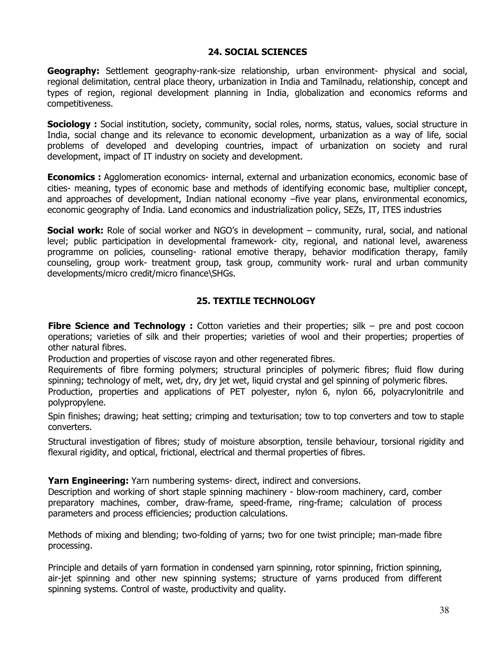## **24. SOCIAL SCIENCES**

**Geography:** Settlement geography-rank-size relationship, urban environment- physical and social, regional delimitation, central place theory, urbanization in India and Tamilnadu, relationship, concept and types of region, regional development planning in India, globalization and economics reforms and competitiveness.

**Sociology :** Social institution, society, community, social roles, norms, status, values, social structure in India, social change and its relevance to economic development, urbanization as a way of life, social problems of developed and developing countries, impact of urbanization on society and rural development, impact of IT industry on society and development.

**Economics :** Agglomeration economics- internal, external and urbanization economics, economic base of cities- meaning, types of economic base and methods of identifying economic base, multiplier concept, and approaches of development, Indian national economy –five year plans, environmental economics, economic geography of India. Land economics and industrialization policy, SEZs, IT, ITES industries

**Social work:** Role of social worker and NGO's in development – community, rural, social, and national level; public participation in developmental framework- city, regional, and national level, awareness programme on policies, counseling- rational emotive therapy, behavior modification therapy, family counseling, group work- treatment group, task group, community work- rural and urban community developments/micro credit/micro finance\SHGs.

## **25. TEXTILE TECHNOLOGY**

**Fibre Science and Technology :** Cotton varieties and their properties; silk – pre and post cocoon operations; varieties of silk and their properties; varieties of wool and their properties; properties of other natural fibres.

Production and properties of viscose rayon and other regenerated fibres.

Requirements of fibre forming polymers; structural principles of polymeric fibres; fluid flow during spinning; technology of melt, wet, dry, dry jet wet, liquid crystal and gel spinning of polymeric fibres.

Production, properties and applications of PET polyester, nylon 6, nylon 66, polyacrylonitrile and polypropylene.

Spin finishes; drawing; heat setting; crimping and texturisation; tow to top converters and tow to staple converters.

Structural investigation of fibres; study of moisture absorption, tensile behaviour, torsional rigidity and flexural rigidity, and optical, frictional, electrical and thermal properties of fibres.

**Yarn Engineering:** Yarn numbering systems- direct, indirect and conversions.

Description and working of short staple spinning machinery - blow-room machinery, card, comber preparatory machines, comber, draw-frame, speed-frame, ring-frame; calculation of process parameters and process efficiencies; production calculations.

Methods of mixing and blending; two-folding of yarns; two for one twist principle; man-made fibre processing.

Principle and details of yarn formation in condensed yarn spinning, rotor spinning, friction spinning, air-jet spinning and other new spinning systems; structure of yarns produced from different spinning systems. Control of waste, productivity and quality.